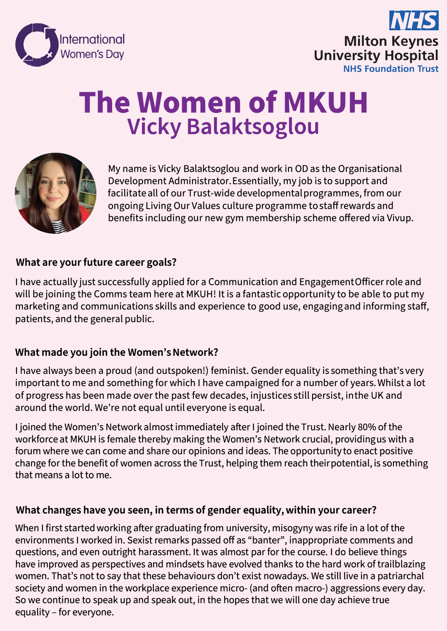



# **The Women of MKUH Vicky Balaktsoglou**



My name is Vicky Balaktsoglou and work in OD as the Organisational Development Administrator. Essentially, my job is to support and facilitate all of our Trust-wide developmental programmes, from our ongoing Living Our Values culture programme to staff rewards and benefits including our new gym membership scheme offered via Vivup.

## **What are your future career goals?**

I have actually just successfully applied for a Communication and Engagement Officerrole and will be joining the Comms team here at MKUH! It is a fantastic opportunity to be able to put my marketing and communications skills and experience to good use, engaging and informing staff, patients, and the general public.

#### **What made youjoin the Women's Network?**

I have always been a proud (and outspoken!) feminist. Gender equality is something that's very important to me and something for which I have campaigned for a number of years. Whilst a lot of progress has been made over the past few decades, injustices still persist, in the UK and around the world. We're not equal until everyone is equal.

I joined the Women's Network almost immediately after I joined the Trust. Nearly 80% of the workforce at MKUH is female thereby making the Women's Network crucial, providing us with a forum where we can come and share our opinions and ideas. The opportunity to enact positive change for the benefit of women across the Trust, helping them reach their potential, is something that means a lot to me.

#### **What changes have you seen, in terms of gender equality, within your career?**

When I first started working after graduating from university, misogyny was rife in a lot of the environments I worked in. Sexist remarks passed off as "banter", inappropriate comments and questions, and even outright harassment. It was almost par for the course. I do believe things have improved as perspectives and mindsets have evolved thanks to the hard work of trailblazing women. That's not to say that these behaviours don't exist nowadays. We still live in a patriarchal society and women in the workplace experience micro- (and often macro-) aggressions every day. So we continue to speak up and speak out, in the hopes that we will one day achieve true equality- for everyone.